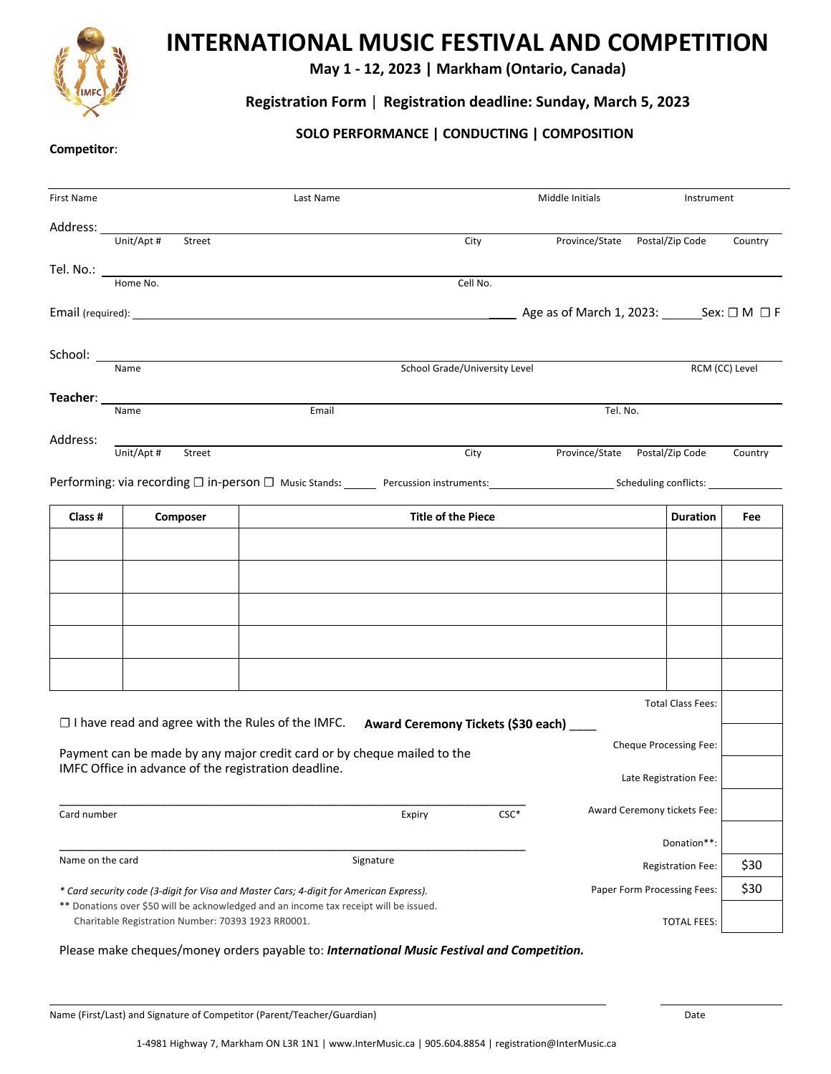

# **INTERNATIONAL MUSIC FESTIVAL AND COMPETITION**

**May 1 - 12, 2023 | Markham (Ontario, Canada)**

## **Registration Form** | **Registration deadline: Sunday, March 5, 2023**

## **SOLO PERFORMANCE | CONDUCTING | COMPOSITION**

#### **Competitor**:

| First Name                                                                                                                                                        | Last Name                                                                                                              |                                                                                                                                       |                                    | Middle Initials |                                                                |                             | Instrument      |                |
|-------------------------------------------------------------------------------------------------------------------------------------------------------------------|------------------------------------------------------------------------------------------------------------------------|---------------------------------------------------------------------------------------------------------------------------------------|------------------------------------|-----------------|----------------------------------------------------------------|-----------------------------|-----------------|----------------|
| Address:                                                                                                                                                          | Unit/Apt #                                                                                                             |                                                                                                                                       |                                    |                 |                                                                |                             |                 |                |
|                                                                                                                                                                   | Street                                                                                                                 |                                                                                                                                       |                                    | City            | Province/State                                                 | Postal/Zip Code             |                 | Country        |
| Tel. No.: $\_$                                                                                                                                                    | Home No.                                                                                                               |                                                                                                                                       |                                    | Cell No.        |                                                                |                             |                 |                |
|                                                                                                                                                                   |                                                                                                                        |                                                                                                                                       |                                    |                 | $\_$ Age as of March 1, 2023: _________Sex: $\Box$ M $~\Box$ F |                             |                 |                |
| School:                                                                                                                                                           |                                                                                                                        |                                                                                                                                       |                                    |                 |                                                                |                             |                 |                |
|                                                                                                                                                                   | Name                                                                                                                   | School Grade/University Level                                                                                                         |                                    |                 |                                                                |                             |                 | RCM (CC) Level |
|                                                                                                                                                                   | Teacher: University of the series of the series of the series of the series of the series of the series of the<br>Name | Email                                                                                                                                 |                                    |                 | Tel. No.                                                       |                             |                 |                |
| Address:                                                                                                                                                          |                                                                                                                        |                                                                                                                                       |                                    |                 |                                                                |                             |                 |                |
|                                                                                                                                                                   | Unit/Apt #<br>Street                                                                                                   |                                                                                                                                       |                                    | City            | Province/State Postal/Zip Code                                 |                             |                 | Country        |
|                                                                                                                                                                   |                                                                                                                        | Performing: via recording $\Box$ in-person $\Box$ Music Stands: Percussion instruments: Scheduling conflicts: Percussion instruments: |                                    |                 |                                                                |                             |                 |                |
| Class #                                                                                                                                                           | Composer                                                                                                               |                                                                                                                                       | <b>Title of the Piece</b>          |                 |                                                                |                             | <b>Duration</b> | Fee            |
|                                                                                                                                                                   |                                                                                                                        |                                                                                                                                       |                                    |                 |                                                                |                             |                 |                |
|                                                                                                                                                                   |                                                                                                                        |                                                                                                                                       |                                    |                 |                                                                |                             |                 |                |
|                                                                                                                                                                   |                                                                                                                        |                                                                                                                                       |                                    |                 |                                                                |                             |                 |                |
|                                                                                                                                                                   |                                                                                                                        |                                                                                                                                       |                                    |                 |                                                                |                             |                 |                |
|                                                                                                                                                                   |                                                                                                                        |                                                                                                                                       |                                    |                 |                                                                |                             |                 |                |
|                                                                                                                                                                   |                                                                                                                        |                                                                                                                                       |                                    |                 |                                                                |                             |                 |                |
|                                                                                                                                                                   |                                                                                                                        |                                                                                                                                       |                                    |                 |                                                                | <b>Total Class Fees:</b>    |                 |                |
|                                                                                                                                                                   | $\Box$ I have read and agree with the Rules of the IMFC.                                                               |                                                                                                                                       | Award Ceremony Tickets (\$30 each) |                 |                                                                |                             |                 |                |
|                                                                                                                                                                   |                                                                                                                        | Payment can be made by any major credit card or by cheque mailed to the                                                               |                                    |                 | Cheque Processing Fee:                                         |                             |                 |                |
|                                                                                                                                                                   | IMFC Office in advance of the registration deadline.                                                                   |                                                                                                                                       |                                    |                 | Late Registration Fee:                                         |                             |                 |                |
| Card number                                                                                                                                                       |                                                                                                                        |                                                                                                                                       | Expiry                             | $CSC*$          |                                                                | Award Ceremony tickets Fee: |                 |                |
|                                                                                                                                                                   |                                                                                                                        |                                                                                                                                       |                                    |                 |                                                                |                             | Donation**:     |                |
| Name on the card                                                                                                                                                  |                                                                                                                        |                                                                                                                                       | Signature                          |                 |                                                                | <b>Registration Fee:</b>    |                 |                |
|                                                                                                                                                                   |                                                                                                                        | * Card security code (3-digit for Visa and Master Cars; 4-digit for American Express).                                                |                                    |                 |                                                                | Paper Form Processing Fees: |                 | \$30           |
| ** Donations over \$50 will be acknowledged and an income tax receipt will be issued.<br>Charitable Registration Number: 70393 1923 RR0001.<br><b>TOTAL FEES:</b> |                                                                                                                        |                                                                                                                                       |                                    |                 |                                                                |                             |                 |                |

#### Please make cheques/money orders payable to: *International Music Festival and Competition.*